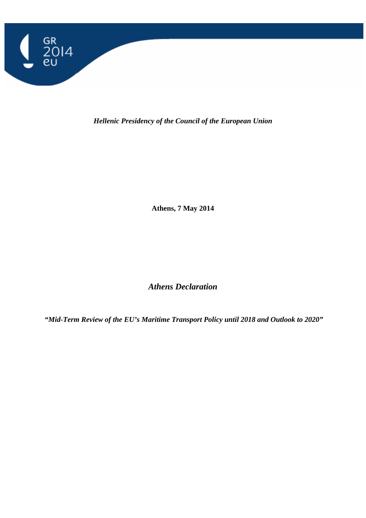

*Hellenic Presidency of the Council of the European Union* 

**Athens, 7 May 2014** 

*Athens Declaration* 

 *"Mid-Term Review of the EU's Maritime Transport Policy until 2018 and Outlook to 2020"*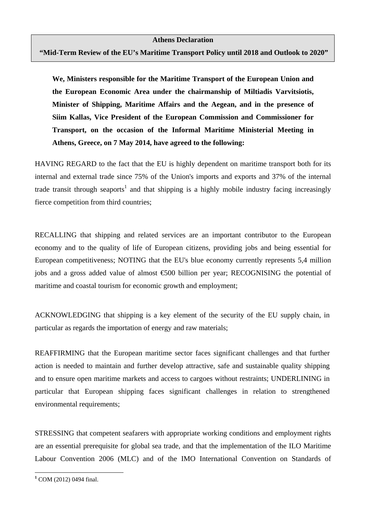**"Mid-Term Review of the EU's Maritime Transport Policy until 2018 and Outlook to 2020"** 

**We, Ministers responsible for the Maritime Transport of the European Union and the European Economic Area under the chairmanship of Miltiadis Varvitsiotis, Minister of Shipping, Maritime Affairs and the Aegean, and in the presence of Siim Kallas, Vice President of the European Commission and Commissioner for Transport, on the occasion of the Informal Maritime Ministerial Meeting in Athens, Greece, on 7 May 2014, have agreed to the following:**

HAVING REGARD to the fact that the EU is highly dependent on maritime transport both for its internal and external trade since 75% of the Union's imports and exports and 37% of the internal trade transit through seaports<sup>1</sup> and that shipping is a highly mobile industry facing increasingly fierce competition from third countries;

RECALLING that shipping and related services are an important contributor to the European economy and to the quality of life of European citizens, providing jobs and being essential for European competitiveness; NOTING that the EU's blue economy currently represents 5,4 million jobs and a gross added value of almost €500 billion per year; RECOGNISING the potential of maritime and coastal tourism for economic growth and employment;

ACKNOWLEDGING that shipping is a key element of the security of the EU supply chain, in particular as regards the importation of energy and raw materials;

REAFFIRMING that the European maritime sector faces significant challenges and that further action is needed to maintain and further develop attractive, safe and sustainable quality shipping and to ensure open maritime markets and access to cargoes without restraints; UNDERLINING in particular that European shipping faces significant challenges in relation to strengthened environmental requirements;

STRESSING that competent seafarers with appropriate working conditions and employment rights are an essential prerequisite for global sea trade, and that the implementation of the ILO Maritime Labour Convention 2006 (MLC) and of the IMO International Convention on Standards of

 $\overline{a}$ 

**<sup>1</sup>** COM (2012) 0494 final.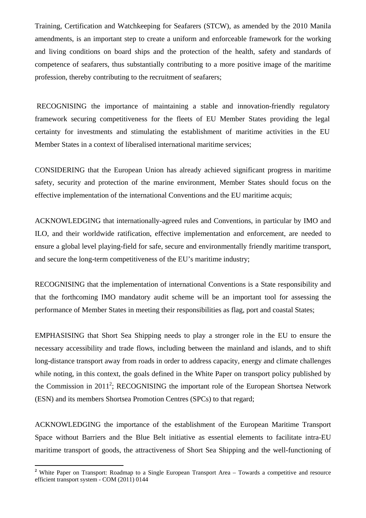Training, Certification and Watchkeeping for Seafarers (STCW), as amended by the 2010 Manila amendments, is an important step to create a uniform and enforceable framework for the working and living conditions on board ships and the protection of the health, safety and standards of competence of seafarers, thus substantially contributing to a more positive image of the maritime profession, thereby contributing to the recruitment of seafarers;

 RECOGNISING the importance of maintaining a stable and innovation-friendly regulatory framework securing competitiveness for the fleets of EU Member States providing the legal certainty for investments and stimulating the establishment of maritime activities in the EU Member States in a context of liberalised international maritime services;

CONSIDERING that the European Union has already achieved significant progress in maritime safety, security and protection of the marine environment, Member States should focus on the effective implementation of the international Conventions and the EU maritime acquis;

ACKNOWLEDGING that internationally-agreed rules and Conventions, in particular by IMO and ILO, and their worldwide ratification, effective implementation and enforcement, are needed to ensure a global level playing-field for safe, secure and environmentally friendly maritime transport, and secure the long-term competitiveness of the EU's maritime industry;

RECOGNISING that the implementation of international Conventions is a State responsibility and that the forthcoming IMO mandatory audit scheme will be an important tool for assessing the performance of Member States in meeting their responsibilities as flag, port and coastal States;

EMPHASISING that Short Sea Shipping needs to play a stronger role in the EU to ensure the necessary accessibility and trade flows, including between the mainland and islands, and to shift long-distance transport away from roads in order to address capacity, energy and climate challenges while noting, in this context, the goals defined in the White Paper on transport policy published by the Commission in 2011<sup>2</sup>; RECOGNISING the important role of the European Shortsea Network (ESN) and its members Shortsea Promotion Centres (SPCs) to that regard;

ACKNOWLEDGING the importance of the establishment of the European Maritime Transport Space without Barriers and the Blue Belt initiative as essential elements to facilitate intra-EU maritime transport of goods, the attractiveness of Short Sea Shipping and the well-functioning of

 $\overline{a}$ 

<sup>&</sup>lt;sup>2</sup> White Paper on Transport: Roadmap to a Single European Transport Area – Towards a competitive and resource efficient transport system - COM (2011) 0144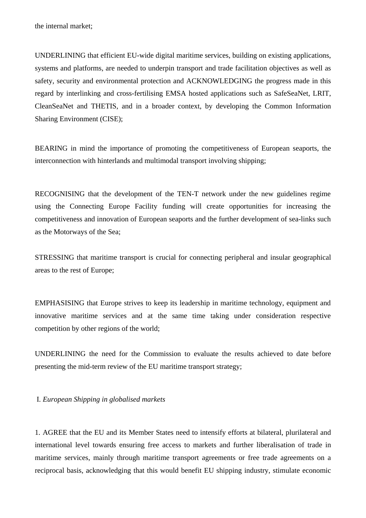the internal market;

UNDERLINING that efficient EU-wide digital maritime services, building on existing applications, systems and platforms, are needed to underpin transport and trade facilitation objectives as well as safety, security and environmental protection and ACKNOWLEDGING the progress made in this regard by interlinking and cross-fertilising EMSA hosted applications such as SafeSeaNet, LRIT, CleanSeaNet and THETIS, and in a broader context, by developing the Common Information Sharing Environment (CISE);

BEARING in mind the importance of promoting the competitiveness of European seaports, the interconnection with hinterlands and multimodal transport involving shipping;

RECOGNISING that the development of the TEN-T network under the new guidelines regime using the Connecting Europe Facility funding will create opportunities for increasing the competitiveness and innovation of European seaports and the further development of sea-links such as the Motorways of the Sea;

STRESSING that maritime transport is crucial for connecting peripheral and insular geographical areas to the rest of Europe;

EMPHASISING that Europe strives to keep its leadership in maritime technology, equipment and innovative maritime services and at the same time taking under consideration respective competition by other regions of the world;

UNDERLINING the need for the Commission to evaluate the results achieved to date before presenting the mid-term review of the EU maritime transport strategy;

I*. European Shipping in globalised markets*

1. AGREE that the EU and its Member States need to intensify efforts at bilateral, plurilateral and international level towards ensuring free access to markets and further liberalisation of trade in maritime services, mainly through maritime transport agreements or free trade agreements on a reciprocal basis, acknowledging that this would benefit EU shipping industry, stimulate economic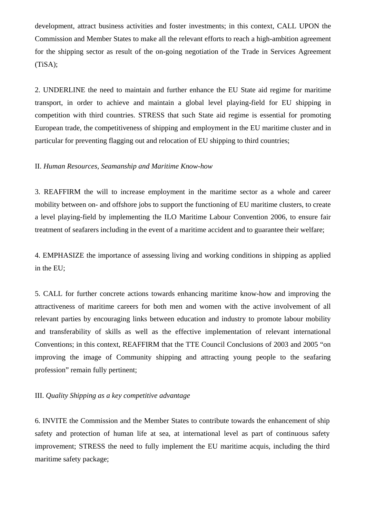development, attract business activities and foster investments; in this context, CALL UPON the Commission and Member States to make all the relevant efforts to reach a high-ambition agreement for the shipping sector as result of the on-going negotiation of the Trade in Services Agreement (TiSA);

2. UNDERLINE the need to maintain and further enhance the EU State aid regime for maritime transport, in order to achieve and maintain a global level playing-field for EU shipping in competition with third countries. STRESS that such State aid regime is essential for promoting European trade, the competitiveness of shipping and employment in the EU maritime cluster and in particular for preventing flagging out and relocation of EU shipping to third countries;

## II. *Human Resources, Seamanship and Maritime Know-how*

3. REAFFIRM the will to increase employment in the maritime sector as a whole and career mobility between on- and offshore jobs to support the functioning of EU maritime clusters, to create a level playing-field by implementing the ILO Maritime Labour Convention 2006, to ensure fair treatment of seafarers including in the event of a maritime accident and to guarantee their welfare;

4. EMPHASIZE the importance of assessing living and working conditions in shipping as applied in the EU;

5. CALL for further concrete actions towards enhancing maritime know-how and improving the attractiveness of maritime careers for both men and women with the active involvement of all relevant parties by encouraging links between education and industry to promote labour mobility and transferability of skills as well as the effective implementation of relevant international Conventions; in this context, REAFFIRM that the TTE Council Conclusions of 2003 and 2005 "on improving the image of Community shipping and attracting young people to the seafaring profession" remain fully pertinent;

## III. *Quality Shipping as a key competitive advantage*

6. INVITE the Commission and the Member States to contribute towards the enhancement of ship safety and protection of human life at sea, at international level as part of continuous safety improvement; STRESS the need to fully implement the EU maritime acquis, including the third maritime safety package;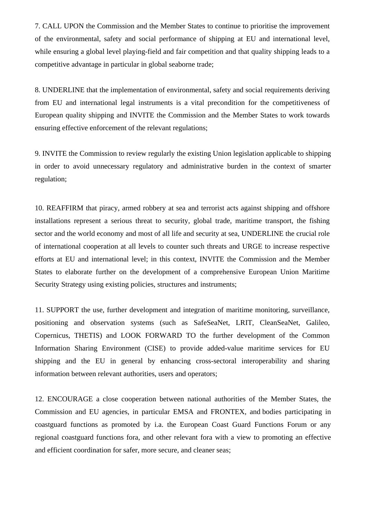7. CALL UPON the Commission and the Member States to continue to prioritise the improvement of the environmental, safety and social performance of shipping at EU and international level, while ensuring a global level playing-field and fair competition and that quality shipping leads to a competitive advantage in particular in global seaborne trade;

8. UNDERLINE that the implementation of environmental, safety and social requirements deriving from EU and international legal instruments is a vital precondition for the competitiveness of European quality shipping and INVITE the Commission and the Member States to work towards ensuring effective enforcement of the relevant regulations;

9. INVITE the Commission to review regularly the existing Union legislation applicable to shipping in order to avoid unnecessary regulatory and administrative burden in the context of smarter regulation;

10. REAFFIRM that piracy, armed robbery at sea and terrorist acts against shipping and offshore installations represent a serious threat to security, global trade, maritime transport, the fishing sector and the world economy and most of all life and security at sea, UNDERLINE the crucial role of international cooperation at all levels to counter such threats and URGE to increase respective efforts at EU and international level; in this context, INVITE the Commission and the Member States to elaborate further on the development of a comprehensive European Union Maritime Security Strategy using existing policies, structures and instruments;

11. SUPPORT the use, further development and integration of maritime monitoring, surveillance, positioning and observation systems (such as SafeSeaNet, LRIT, CleanSeaNet, Galileo, Copernicus, THETIS) and LOOK FORWARD TO the further development of the Common Information Sharing Environment (CISE) to provide added-value maritime services for EU shipping and the EU in general by enhancing cross-sectoral interoperability and sharing information between relevant authorities, users and operators;

12. ENCOURAGE a close cooperation between national authorities of the Member States, the Commission and EU agencies, in particular EMSA and FRONTEX, and bodies participating in coastguard functions as promoted by i.a. the European Coast Guard Functions Forum or any regional coastguard functions fora, and other relevant fora with a view to promoting an effective and efficient coordination for safer, more secure, and cleaner seas;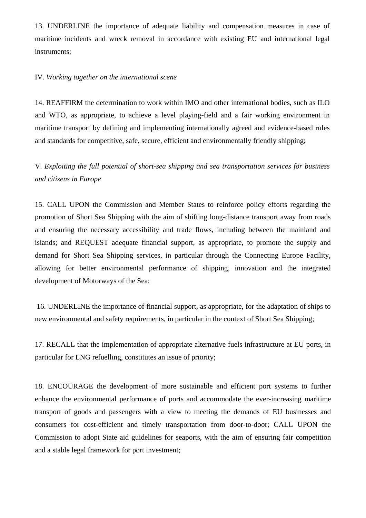13. UNDERLINE the importance of adequate liability and compensation measures in case of maritime incidents and wreck removal in accordance with existing EU and international legal instruments;

## IV*. Working together on the international scene*

14. REAFFIRM the determination to work within IMO and other international bodies, such as ILO and WTO, as appropriate, to achieve a level playing-field and a fair working environment in maritime transport by defining and implementing internationally agreed and evidence-based rules and standards for competitive, safe, secure, efficient and environmentally friendly shipping;

V. *Exploiting the full potential of short-sea shipping and sea transportation services for business and citizens in Europe*

15. CALL UPON the Commission and Member States to reinforce policy efforts regarding the promotion of Short Sea Shipping with the aim of shifting long-distance transport away from roads and ensuring the necessary accessibility and trade flows, including between the mainland and islands; and REQUEST adequate financial support, as appropriate, to promote the supply and demand for Short Sea Shipping services, in particular through the Connecting Europe Facility, allowing for better environmental performance of shipping, innovation and the integrated development of Motorways of the Sea;

 16. UNDERLINE the importance of financial support, as appropriate, for the adaptation of ships to new environmental and safety requirements, in particular in the context of Short Sea Shipping;

17. RECALL that the implementation of appropriate alternative fuels infrastructure at EU ports, in particular for LNG refuelling, constitutes an issue of priority;

18. ENCOURAGE the development of more sustainable and efficient port systems to further enhance the environmental performance of ports and accommodate the ever-increasing maritime transport of goods and passengers with a view to meeting the demands of EU businesses and consumers for cost-efficient and timely transportation from door-to-door; CALL UPON the Commission to adopt State aid guidelines for seaports, with the aim of ensuring fair competition and a stable legal framework for port investment;